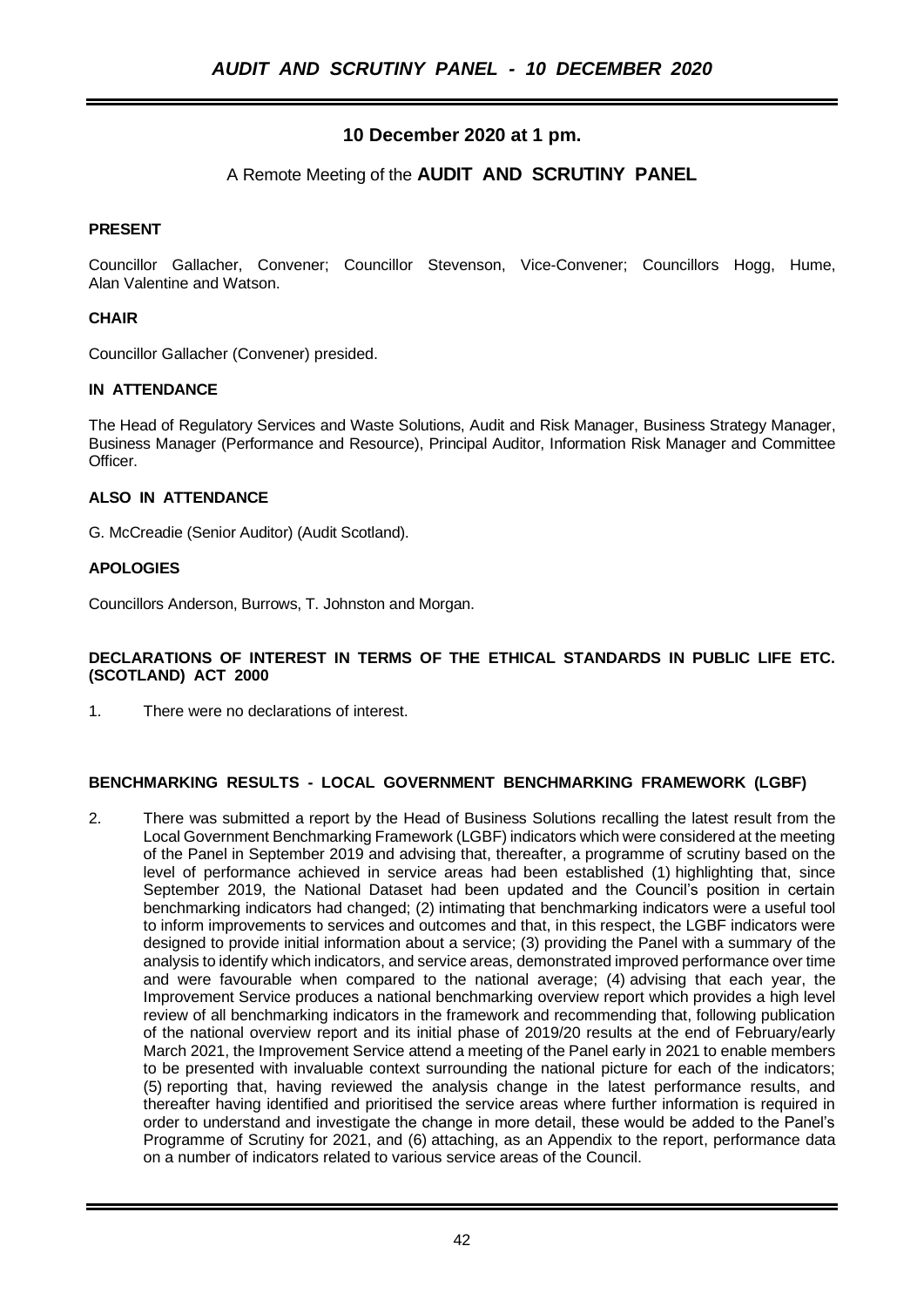# **10 December 2020 at 1 pm.**

# A Remote Meeting of the **AUDIT AND SCRUTINY PANEL**

# **PRESENT**

Councillor Gallacher, Convener; Councillor Stevenson, Vice-Convener; Councillors Hogg, Hume, Alan Valentine and Watson.

# **CHAIR**

Councillor Gallacher (Convener) presided.

#### **IN ATTENDANCE**

The Head of Regulatory Services and Waste Solutions, Audit and Risk Manager, Business Strategy Manager, Business Manager (Performance and Resource), Principal Auditor, Information Risk Manager and Committee Officer.

#### **ALSO IN ATTENDANCE**

G. McCreadie (Senior Auditor) (Audit Scotland).

# **APOLOGIES**

Councillors Anderson, Burrows, T. Johnston and Morgan.

#### **DECLARATIONS OF INTEREST IN TERMS OF THE ETHICAL STANDARDS IN PUBLIC LIFE ETC. (SCOTLAND) ACT 2000**

1. There were no declarations of interest.

#### **BENCHMARKING RESULTS - LOCAL GOVERNMENT BENCHMARKING FRAMEWORK (LGBF)**

2. There was submitted a report by the Head of Business Solutions recalling the latest result from the Local Government Benchmarking Framework (LGBF) indicators which were considered at the meeting of the Panel in September 2019 and advising that, thereafter, a programme of scrutiny based on the level of performance achieved in service areas had been established (1) highlighting that, since September 2019, the National Dataset had been updated and the Council's position in certain benchmarking indicators had changed; (2) intimating that benchmarking indicators were a useful tool to inform improvements to services and outcomes and that, in this respect, the LGBF indicators were designed to provide initial information about a service; (3) providing the Panel with a summary of the analysis to identify which indicators, and service areas, demonstrated improved performance over time and were favourable when compared to the national average; (4) advising that each year, the Improvement Service produces a national benchmarking overview report which provides a high level review of all benchmarking indicators in the framework and recommending that, following publication of the national overview report and its initial phase of 2019/20 results at the end of February/early March 2021, the Improvement Service attend a meeting of the Panel early in 2021 to enable members to be presented with invaluable context surrounding the national picture for each of the indicators; (5) reporting that, having reviewed the analysis change in the latest performance results, and thereafter having identified and prioritised the service areas where further information is required in order to understand and investigate the change in more detail, these would be added to the Panel's Programme of Scrutiny for 2021, and (6) attaching, as an Appendix to the report, performance data on a number of indicators related to various service areas of the Council.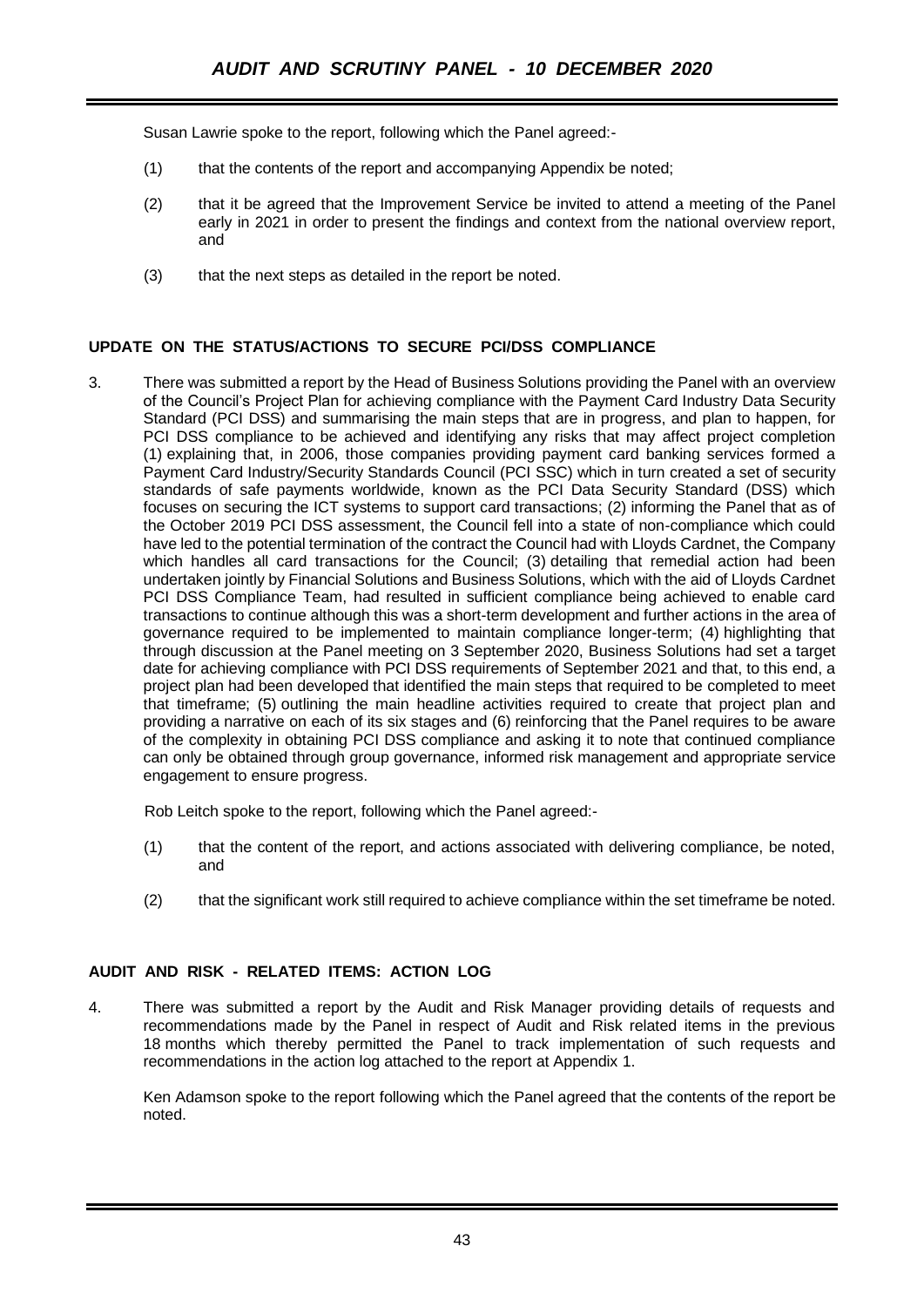Susan Lawrie spoke to the report, following which the Panel agreed:-

- (1) that the contents of the report and accompanying Appendix be noted;
- (2) that it be agreed that the Improvement Service be invited to attend a meeting of the Panel early in 2021 in order to present the findings and context from the national overview report, and
- (3) that the next steps as detailed in the report be noted.

# **UPDATE ON THE STATUS/ACTIONS TO SECURE PCI/DSS COMPLIANCE**

3. There was submitted a report by the Head of Business Solutions providing the Panel with an overview of the Council's Project Plan for achieving compliance with the Payment Card Industry Data Security Standard (PCI DSS) and summarising the main steps that are in progress, and plan to happen, for PCI DSS compliance to be achieved and identifying any risks that may affect project completion (1) explaining that, in 2006, those companies providing payment card banking services formed a Payment Card Industry/Security Standards Council (PCI SSC) which in turn created a set of security standards of safe payments worldwide, known as the PCI Data Security Standard (DSS) which focuses on securing the ICT systems to support card transactions; (2) informing the Panel that as of the October 2019 PCI DSS assessment, the Council fell into a state of non-compliance which could have led to the potential termination of the contract the Council had with Lloyds Cardnet, the Company which handles all card transactions for the Council; (3) detailing that remedial action had been undertaken jointly by Financial Solutions and Business Solutions, which with the aid of Lloyds Cardnet PCI DSS Compliance Team, had resulted in sufficient compliance being achieved to enable card transactions to continue although this was a short-term development and further actions in the area of governance required to be implemented to maintain compliance longer-term; (4) highlighting that through discussion at the Panel meeting on 3 September 2020, Business Solutions had set a target date for achieving compliance with PCI DSS requirements of September 2021 and that, to this end, a project plan had been developed that identified the main steps that required to be completed to meet that timeframe; (5) outlining the main headline activities required to create that project plan and providing a narrative on each of its six stages and (6) reinforcing that the Panel requires to be aware of the complexity in obtaining PCI DSS compliance and asking it to note that continued compliance can only be obtained through group governance, informed risk management and appropriate service engagement to ensure progress.

Rob Leitch spoke to the report, following which the Panel agreed:-

- (1) that the content of the report, and actions associated with delivering compliance, be noted, and
- (2) that the significant work still required to achieve compliance within the set timeframe be noted.

# **AUDIT AND RISK - RELATED ITEMS: ACTION LOG**

4. There was submitted a report by the Audit and Risk Manager providing details of requests and recommendations made by the Panel in respect of Audit and Risk related items in the previous 18 months which thereby permitted the Panel to track implementation of such requests and recommendations in the action log attached to the report at Appendix 1.

Ken Adamson spoke to the report following which the Panel agreed that the contents of the report be noted.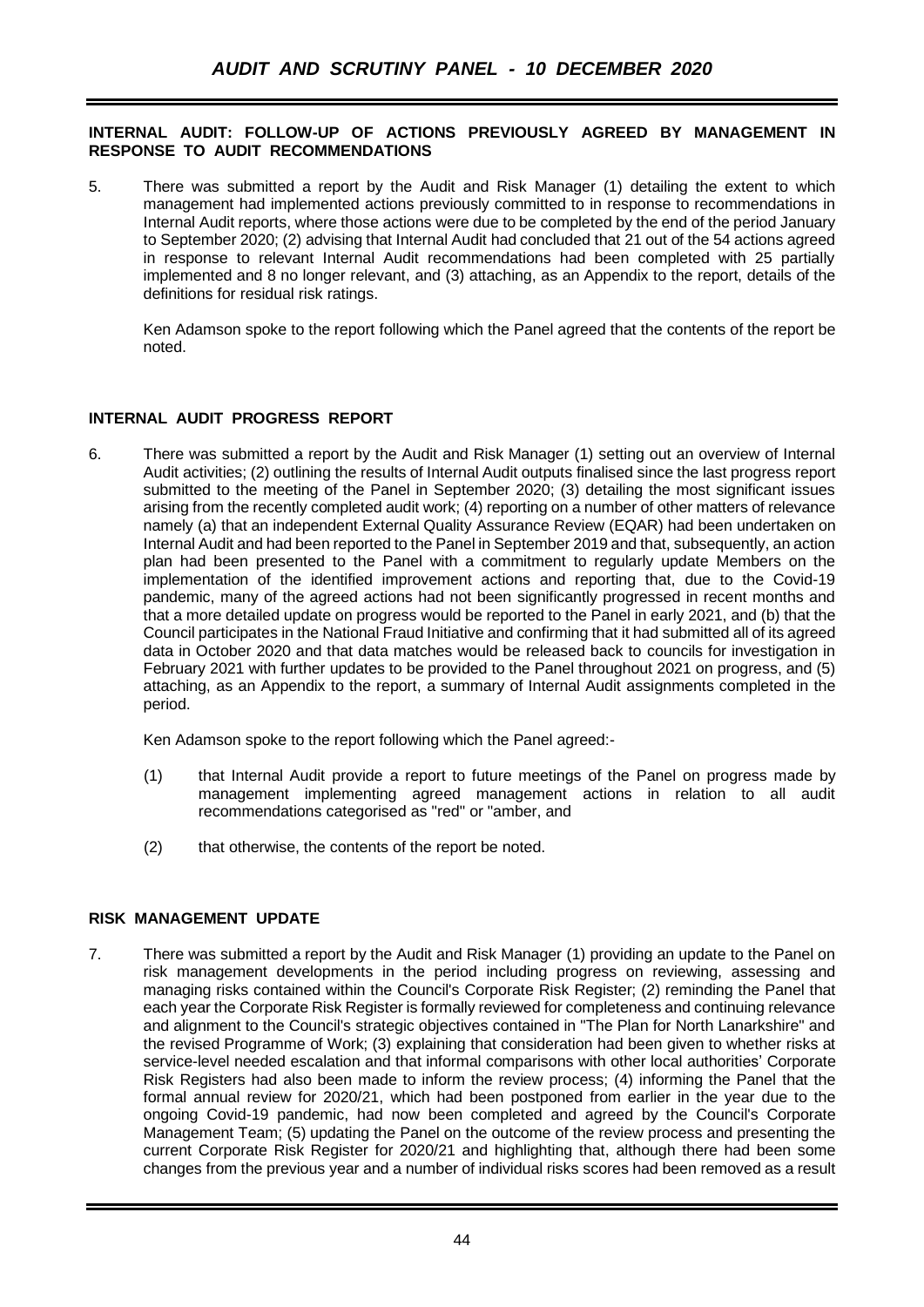#### **INTERNAL AUDIT: FOLLOW-UP OF ACTIONS PREVIOUSLY AGREED BY MANAGEMENT IN RESPONSE TO AUDIT RECOMMENDATIONS**

5. There was submitted a report by the Audit and Risk Manager (1) detailing the extent to which management had implemented actions previously committed to in response to recommendations in Internal Audit reports, where those actions were due to be completed by the end of the period January to September 2020; (2) advising that Internal Audit had concluded that 21 out of the 54 actions agreed in response to relevant Internal Audit recommendations had been completed with 25 partially implemented and 8 no longer relevant, and (3) attaching, as an Appendix to the report, details of the definitions for residual risk ratings.

Ken Adamson spoke to the report following which the Panel agreed that the contents of the report be noted.

# **INTERNAL AUDIT PROGRESS REPORT**

6. There was submitted a report by the Audit and Risk Manager (1) setting out an overview of Internal Audit activities; (2) outlining the results of Internal Audit outputs finalised since the last progress report submitted to the meeting of the Panel in September 2020; (3) detailing the most significant issues arising from the recently completed audit work; (4) reporting on a number of other matters of relevance namely (a) that an independent External Quality Assurance Review (EQAR) had been undertaken on Internal Audit and had been reported to the Panel in September 2019 and that, subsequently, an action plan had been presented to the Panel with a commitment to regularly update Members on the implementation of the identified improvement actions and reporting that, due to the Covid-19 pandemic, many of the agreed actions had not been significantly progressed in recent months and that a more detailed update on progress would be reported to the Panel in early 2021, and (b) that the Council participates in the National Fraud Initiative and confirming that it had submitted all of its agreed data in October 2020 and that data matches would be released back to councils for investigation in February 2021 with further updates to be provided to the Panel throughout 2021 on progress, and (5) attaching, as an Appendix to the report, a summary of Internal Audit assignments completed in the period.

Ken Adamson spoke to the report following which the Panel agreed:-

- (1) that Internal Audit provide a report to future meetings of the Panel on progress made by management implementing agreed management actions in relation to all audit recommendations categorised as "red" or "amber, and
- (2) that otherwise, the contents of the report be noted.

#### **RISK MANAGEMENT UPDATE**

7. There was submitted a report by the Audit and Risk Manager (1) providing an update to the Panel on risk management developments in the period including progress on reviewing, assessing and managing risks contained within the Council's Corporate Risk Register; (2) reminding the Panel that each year the Corporate Risk Register is formally reviewed for completeness and continuing relevance and alignment to the Council's strategic objectives contained in "The Plan for North Lanarkshire" and the revised Programme of Work; (3) explaining that consideration had been given to whether risks at service-level needed escalation and that informal comparisons with other local authorities' Corporate Risk Registers had also been made to inform the review process; (4) informing the Panel that the formal annual review for 2020/21, which had been postponed from earlier in the year due to the ongoing Covid-19 pandemic, had now been completed and agreed by the Council's Corporate Management Team; (5) updating the Panel on the outcome of the review process and presenting the current Corporate Risk Register for 2020/21 and highlighting that, although there had been some changes from the previous year and a number of individual risks scores had been removed as a result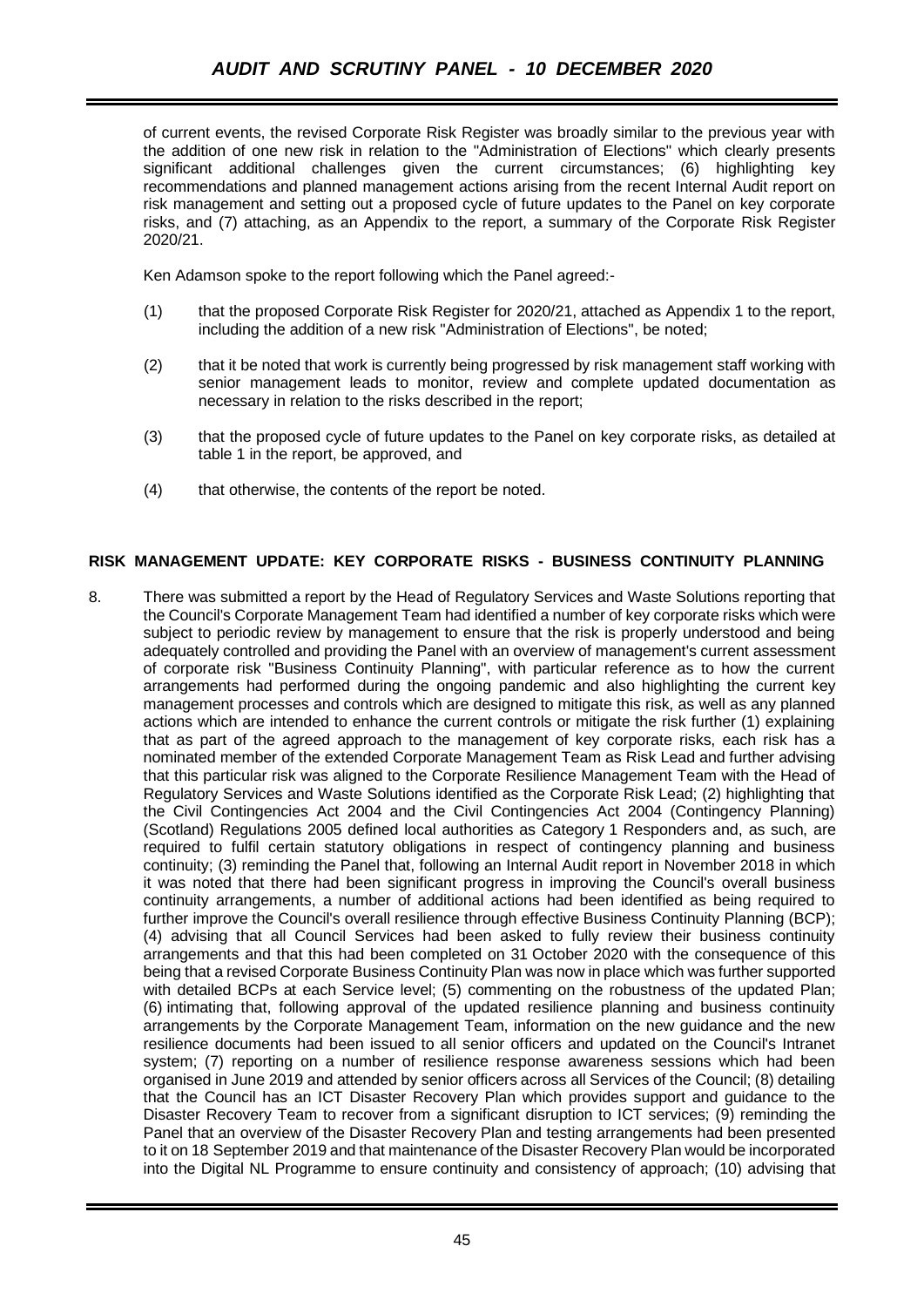of current events, the revised Corporate Risk Register was broadly similar to the previous year with the addition of one new risk in relation to the "Administration of Elections" which clearly presents significant additional challenges given the current circumstances; (6) highlighting key recommendations and planned management actions arising from the recent Internal Audit report on risk management and setting out a proposed cycle of future updates to the Panel on key corporate risks, and (7) attaching, as an Appendix to the report, a summary of the Corporate Risk Register 2020/21.

Ken Adamson spoke to the report following which the Panel agreed:-

- (1) that the proposed Corporate Risk Register for 2020/21, attached as Appendix 1 to the report, including the addition of a new risk "Administration of Elections", be noted;
- (2) that it be noted that work is currently being progressed by risk management staff working with senior management leads to monitor, review and complete updated documentation as necessary in relation to the risks described in the report;
- (3) that the proposed cycle of future updates to the Panel on key corporate risks, as detailed at table 1 in the report, be approved, and
- (4) that otherwise, the contents of the report be noted.

# **RISK MANAGEMENT UPDATE: KEY CORPORATE RISKS - BUSINESS CONTINUITY PLANNING**

8. There was submitted a report by the Head of Regulatory Services and Waste Solutions reporting that the Council's Corporate Management Team had identified a number of key corporate risks which were subject to periodic review by management to ensure that the risk is properly understood and being adequately controlled and providing the Panel with an overview of management's current assessment of corporate risk "Business Continuity Planning", with particular reference as to how the current arrangements had performed during the ongoing pandemic and also highlighting the current key management processes and controls which are designed to mitigate this risk, as well as any planned actions which are intended to enhance the current controls or mitigate the risk further (1) explaining that as part of the agreed approach to the management of key corporate risks, each risk has a nominated member of the extended Corporate Management Team as Risk Lead and further advising that this particular risk was aligned to the Corporate Resilience Management Team with the Head of Regulatory Services and Waste Solutions identified as the Corporate Risk Lead; (2) highlighting that the Civil Contingencies Act 2004 and the Civil Contingencies Act 2004 (Contingency Planning) (Scotland) Regulations 2005 defined local authorities as Category 1 Responders and, as such, are required to fulfil certain statutory obligations in respect of contingency planning and business continuity; (3) reminding the Panel that, following an Internal Audit report in November 2018 in which it was noted that there had been significant progress in improving the Council's overall business continuity arrangements, a number of additional actions had been identified as being required to further improve the Council's overall resilience through effective Business Continuity Planning (BCP); (4) advising that all Council Services had been asked to fully review their business continuity arrangements and that this had been completed on 31 October 2020 with the consequence of this being that a revised Corporate Business Continuity Plan was now in place which was further supported with detailed BCPs at each Service level; (5) commenting on the robustness of the updated Plan; (6) intimating that, following approval of the updated resilience planning and business continuity arrangements by the Corporate Management Team, information on the new guidance and the new resilience documents had been issued to all senior officers and updated on the Council's Intranet system; (7) reporting on a number of resilience response awareness sessions which had been organised in June 2019 and attended by senior officers across all Services of the Council; (8) detailing that the Council has an ICT Disaster Recovery Plan which provides support and guidance to the Disaster Recovery Team to recover from a significant disruption to ICT services; (9) reminding the Panel that an overview of the Disaster Recovery Plan and testing arrangements had been presented to it on 18 September 2019 and that maintenance of the Disaster Recovery Plan would be incorporated into the Digital NL Programme to ensure continuity and consistency of approach; (10) advising that